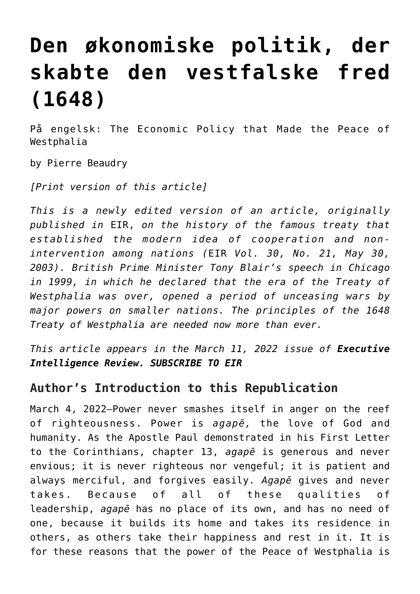# **[Den økonomiske politik, der](https://schillerinstitut.dk/si/2022/03/den-oekonomiske-politik-der-skabte-den-vestfalske-fred/) [skabte den vestfalske fred](https://schillerinstitut.dk/si/2022/03/den-oekonomiske-politik-der-skabte-den-vestfalske-fred/) [\(1648\)](https://schillerinstitut.dk/si/2022/03/den-oekonomiske-politik-der-skabte-den-vestfalske-fred/)**

På engelsk: The Economic Policy that Made the Peace of Westphalia

by Pierre Beaudry

*[\[Print version of this article\]](https://larouchepub.com/eiw/public/2022/eirv49n10-20220311/eirv49n10-20220311_031-the_economic_policy_that_made_th.pdf)*

*This is a newly edited version of an article, originally published in* EIR, *on the history of the famous treaty that established the modern idea of cooperation and nonintervention among nations (*EIR *Vol. 30, No. 21, May 30, 2003). British Prime Minister Tony Blair's speech in Chicago in 1999, in which he declared that the era of the Treaty of Westphalia was over, opened a period of unceasing wars by major powers on smaller nations. The principles of the 1648 Treaty of Westphalia are needed now more than ever.*

*This article appears in the [March 11, 2022 issue](https://larouchepub.com/eiw/public/2022/eirv49n10-20220311/index.html) of Executive Intelligence Review. [SUBSCRIBE TO EIR](https://store.larouchepub.com/EIR-Subscribe-p/eiwos-0-0-0.htm)*

#### **Author's Introduction to this Republication**

March 4, 2022—Power never smashes itself in anger on the reef of righteousness. Power is *agapē,* the love of God and humanity. As the Apostle Paul demonstrated in his First Letter to the Corinthians, chapter 13, *agapē* is generous and never envious; it is never righteous nor vengeful; it is patient and always merciful, and forgives easily. *Agapē* gives and never takes. Because of all of these qualities of leadership, *agapē* has no place of its own, and has no need of one, because it builds its home and takes its residence in others, as others take their happiness and rest in it. It is for these reasons that the power of the Peace of Westphalia is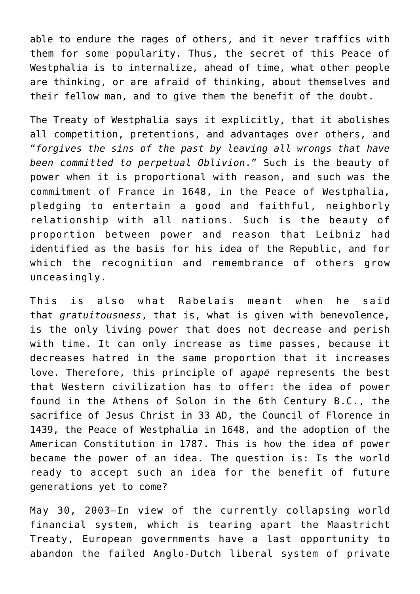able to endure the rages of others, and it never traffics with them for some popularity. Thus, the secret of this Peace of Westphalia is to internalize, ahead of time, what other people are thinking, or are afraid of thinking, about themselves and their fellow man, and to give them the benefit of the doubt.

The Treaty of Westphalia says it explicitly, that it abolishes all competition, pretentions, and advantages over others, and "*forgives the sins of the past by leaving all wrongs that have been committed to perpetual Oblivion*." Such is the beauty of power when it is proportional with reason, and such was the commitment of France in 1648, in the Peace of Westphalia, pledging to entertain a good and faithful, neighborly relationship with all nations. Such is the beauty of proportion between power and reason that Leibniz had identified as the basis for his idea of the Republic, and for which the recognition and remembrance of others grow unceasingly.

This is also what Rabelais meant when he said that *gratuitousness*, that is, what is given with benevolence, is the only living power that does not decrease and perish with time. It can only increase as time passes, because it decreases hatred in the same proportion that it increases love. Therefore, this principle of *agapē* represents the best that Western civilization has to offer: the idea of power found in the Athens of Solon in the 6th Century B.C., the sacrifice of Jesus Christ in 33 AD, the Council of Florence in 1439, the Peace of Westphalia in 1648, and the adoption of the American Constitution in 1787. This is how the idea of power became the power of an idea. The question is: Is the world ready to accept such an idea for the benefit of future generations yet to come?

May 30, 2003—In view of the currently collapsing world financial system, which is tearing apart the Maastricht Treaty, European governments have a last opportunity to abandon the failed Anglo-Dutch liberal system of private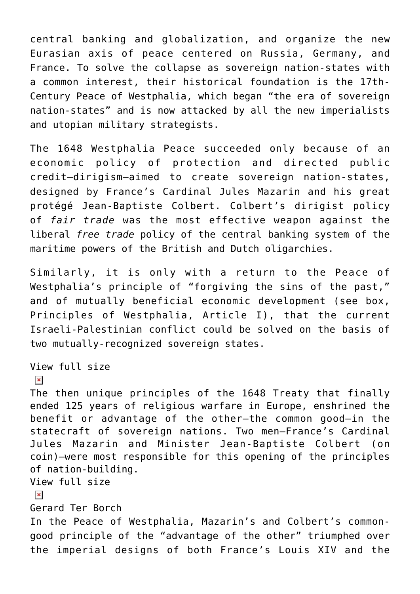central banking and globalization, and organize the new Eurasian axis of peace centered on Russia, Germany, and France. To solve the collapse as sovereign nation-states with a common interest, their historical foundation is the 17th-Century Peace of Westphalia, which began "the era of sovereign nation-states" and is now attacked by all the new imperialists and utopian military strategists.

The 1648 Westphalia Peace succeeded only because of an economic policy of protection and directed public credit—dirigism—aimed to create sovereign nation-states, designed by France's Cardinal Jules Mazarin and his great protégé Jean-Baptiste Colbert. Colbert's dirigist policy of *fair trade* was the most effective weapon against the liberal *free trade* policy of the central banking system of the maritime powers of the British and Dutch oligarchies.

Similarly, it is only with a return to the Peace of Westphalia's principle of "forgiving the sins of the past," and of mutually beneficial economic development (see box, Principles of Westphalia, Article I), that the current Israeli-Palestinian conflict could be solved on the basis of two mutually-recognized sovereign states.

#### [View full size](https://larouchepub.com/graphics/2022/4910/lg/F1.colbert.coin.jpg)

#### $\pmb{\times}$

The then unique principles of the 1648 Treaty that finally ended 125 years of religious warfare in Europe, enshrined the benefit or advantage of the other—the common good—in the statecraft of sovereign nations. Two men—France's Cardinal Jules Mazarin and Minister Jean-Baptiste Colbert (on coin)—were most responsible for this opening of the principles of nation-building. [View full size](https://larouchepub.com/graphics/2022/4910/lg/Westphalia_Terborch.jpg)

#### $\pmb{\times}$

Gerard Ter Borch

In the Peace of Westphalia, Mazarin's and Colbert's commongood principle of the "advantage of the other" triumphed over the imperial designs of both France's Louis XIV and the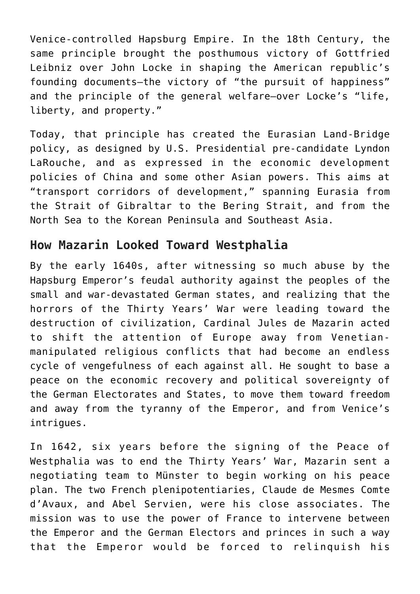Venice-controlled Hapsburg Empire. In the 18th Century, the same principle brought the posthumous victory of Gottfried Leibniz over John Locke in shaping the American republic's founding documents—the victory of "the pursuit of happiness" and the principle of the general welfare—over Locke's "life, liberty, and property."

Today, that principle has created the Eurasian Land-Bridge policy, as designed by U.S. Presidential pre-candidate Lyndon LaRouche, and as expressed in the economic development policies of China and some other Asian powers. This aims at "transport corridors of development," spanning Eurasia from the Strait of Gibraltar to the Bering Strait, and from the North Sea to the Korean Peninsula and Southeast Asia.

#### **How Mazarin Looked Toward Westphalia**

By the early 1640s, after witnessing so much abuse by the Hapsburg Emperor's feudal authority against the peoples of the small and war-devastated German states, and realizing that the horrors of the Thirty Years' War were leading toward the destruction of civilization, Cardinal Jules de Mazarin acted to shift the attention of Europe away from Venetianmanipulated religious conflicts that had become an endless cycle of vengefulness of each against all. He sought to base a peace on the economic recovery and political sovereignty of the German Electorates and States, to move them toward freedom and away from the tyranny of the Emperor, and from Venice's intrigues.

In 1642, six years before the signing of the Peace of Westphalia was to end the Thirty Years' War, Mazarin sent a negotiating team to Münster to begin working on his peace plan. The two French plenipotentiaries, Claude de Mesmes Comte d'Avaux, and Abel Servien, were his close associates. The mission was to use the power of France to intervene between the Emperor and the German Electors and princes in such a way that the Emperor would be forced to relinquish his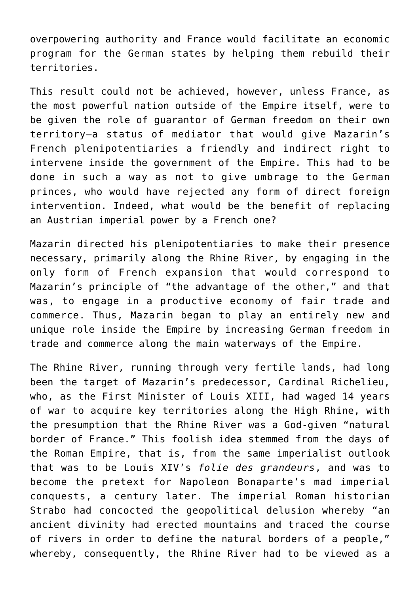overpowering authority and France would facilitate an economic program for the German states by helping them rebuild their territories.

This result could not be achieved, however, unless France, as the most powerful nation outside of the Empire itself, were to be given the role of guarantor of German freedom on their own territory—a status of mediator that would give Mazarin's French plenipotentiaries a friendly and indirect right to intervene inside the government of the Empire. This had to be done in such a way as not to give umbrage to the German princes, who would have rejected any form of direct foreign intervention. Indeed, what would be the benefit of replacing an Austrian imperial power by a French one?

Mazarin directed his plenipotentiaries to make their presence necessary, primarily along the Rhine River, by engaging in the only form of French expansion that would correspond to Mazarin's principle of "the advantage of the other," and that was, to engage in a productive economy of fair trade and commerce. Thus, Mazarin began to play an entirely new and unique role inside the Empire by increasing German freedom in trade and commerce along the main waterways of the Empire.

The Rhine River, running through very fertile lands, had long been the target of Mazarin's predecessor, Cardinal Richelieu, who, as the First Minister of Louis XIII, had waged 14 years of war to acquire key territories along the High Rhine, with the presumption that the Rhine River was a God-given "natural border of France." This foolish idea stemmed from the days of the Roman Empire, that is, from the same imperialist outlook that was to be Louis XIV's *folie des grandeurs*, and was to become the pretext for Napoleon Bonaparte's mad imperial conquests, a century later. The imperial Roman historian Strabo had concocted the geopolitical delusion whereby "an ancient divinity had erected mountains and traced the course of rivers in order to define the natural borders of a people," whereby, consequently, the Rhine River had to be viewed as a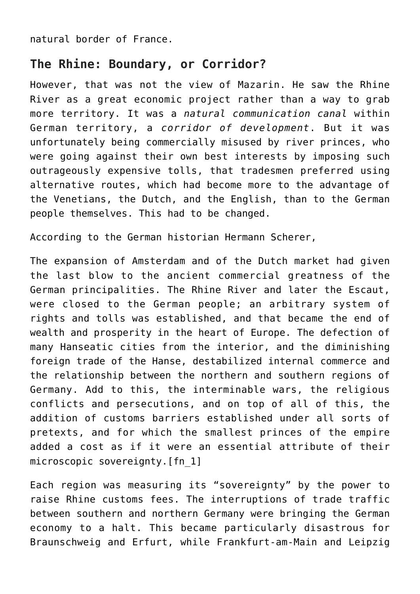natural border of France.

#### **The Rhine: Boundary, or Corridor?**

However, that was not the view of Mazarin. He saw the Rhine River as a great economic project rather than a way to grab more territory. It was a *natural communication canal* within German territory, a *corridor of development*. But it was unfortunately being commercially misused by river princes, who were going against their own best interests by imposing such outrageously expensive tolls, that tradesmen preferred using alternative routes, which had become more to the advantage of the Venetians, the Dutch, and the English, than to the German people themselves. This had to be changed.

According to the German historian Hermann Scherer,

The expansion of Amsterdam and of the Dutch market had given the last blow to the ancient commercial greatness of the German principalities. The Rhine River and later the Escaut, were closed to the German people; an arbitrary system of rights and tolls was established, and that became the end of wealth and prosperity in the heart of Europe. The defection of many Hanseatic cities from the interior, and the diminishing foreign trade of the Hanse, destabilized internal commerce and the relationship between the northern and southern regions of Germany. Add to this, the interminable wars, the religious conflicts and persecutions, and on top of all of this, the addition of customs barriers established under all sorts of pretexts, and for which the smallest princes of the empire added a cost as if it were an essential attribute of their microscopic sovereignty.[\[fn\\_1\]](https://larouchepub.com/other/2022/4910-the_economic_policy_that_made.html#footnote-012)

Each region was measuring its "sovereignty" by the power to raise Rhine customs fees. The interruptions of trade traffic between southern and northern Germany were bringing the German economy to a halt. This became particularly disastrous for Braunschweig and Erfurt, while Frankfurt-am-Main and Leipzig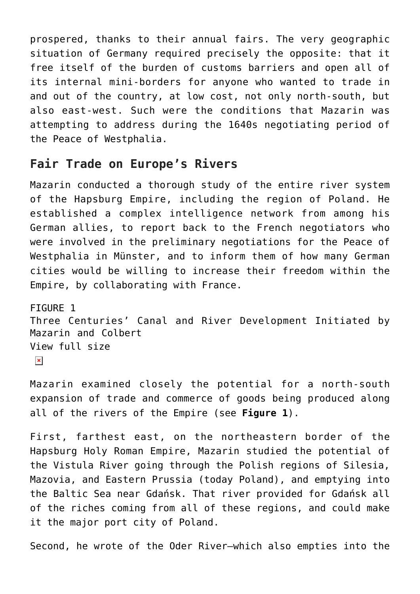prospered, thanks to their annual fairs. The very geographic situation of Germany required precisely the opposite: that it free itself of the burden of customs barriers and open all of its internal mini-borders for anyone who wanted to trade in and out of the country, at low cost, not only north-south, but also east-west. Such were the conditions that Mazarin was attempting to address during the 1640s negotiating period of the Peace of Westphalia.

#### **Fair Trade on Europe's Rivers**

Mazarin conducted a thorough study of the entire river system of the Hapsburg Empire, including the region of Poland. He established a complex intelligence network from among his German allies, to report back to the French negotiators who were involved in the preliminary negotiations for the Peace of Westphalia in Münster, and to inform them of how many German cities would be willing to increase their freedom within the Empire, by collaborating with France.

FIGURE 1 Three Centuries' Canal and River Development Initiated by Mazarin and Colbert [View full size](https://larouchepub.com/graphics/2022/4910/lg/Fig01_Mazarin_Colbert_River_Development.jpg)  $\pmb{\times}$ 

Mazarin examined closely the potential for a north-south expansion of trade and commerce of goods being produced along all of the rivers of the Empire (see **Figure 1**).

First, farthest east, on the northeastern border of the Hapsburg Holy Roman Empire, Mazarin studied the potential of the Vistula River going through the Polish regions of Silesia, Mazovia, and Eastern Prussia (today Poland), and emptying into the Baltic Sea near Gdańsk. That river provided for Gdańsk all of the riches coming from all of these regions, and could make it the major port city of Poland.

Second, he wrote of the Oder River—which also empties into the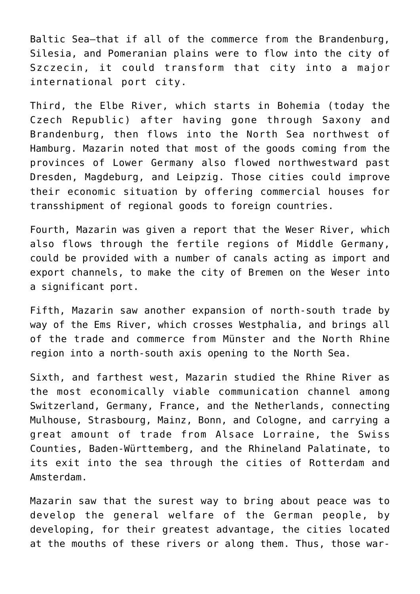Baltic Sea—that if all of the commerce from the Brandenburg, Silesia, and Pomeranian plains were to flow into the city of Szczecin, it could transform that city into a major international port city.

Third, the Elbe River, which starts in Bohemia (today the Czech Republic) after having gone through Saxony and Brandenburg, then flows into the North Sea northwest of Hamburg. Mazarin noted that most of the goods coming from the provinces of Lower Germany also flowed northwestward past Dresden, Magdeburg, and Leipzig. Those cities could improve their economic situation by offering commercial houses for transshipment of regional goods to foreign countries.

Fourth, Mazarin was given a report that the Weser River, which also flows through the fertile regions of Middle Germany, could be provided with a number of canals acting as import and export channels, to make the city of Bremen on the Weser into a significant port.

Fifth, Mazarin saw another expansion of north-south trade by way of the Ems River, which crosses Westphalia, and brings all of the trade and commerce from Münster and the North Rhine region into a north-south axis opening to the North Sea.

Sixth, and farthest west, Mazarin studied the Rhine River as the most economically viable communication channel among Switzerland, Germany, France, and the Netherlands, connecting Mulhouse, Strasbourg, Mainz, Bonn, and Cologne, and carrying a great amount of trade from Alsace Lorraine, the Swiss Counties, Baden-Württemberg, and the Rhineland Palatinate, to its exit into the sea through the cities of Rotterdam and Amsterdam.

Mazarin saw that the surest way to bring about peace was to develop the general welfare of the German people, by developing, for their greatest advantage, the cities located at the mouths of these rivers or along them. Thus, those war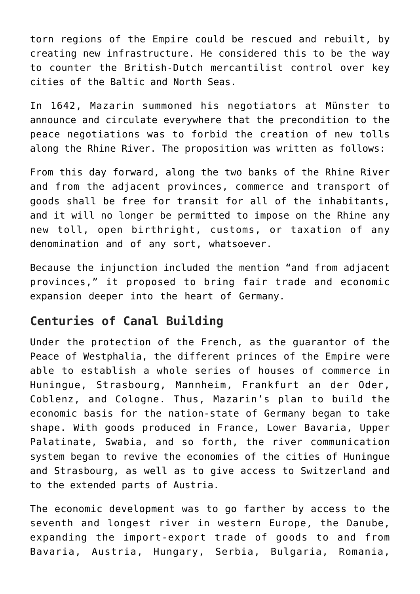torn regions of the Empire could be rescued and rebuilt, by creating new infrastructure. He considered this to be the way to counter the British-Dutch mercantilist control over key cities of the Baltic and North Seas.

In 1642, Mazarin summoned his negotiators at Münster to announce and circulate everywhere that the precondition to the peace negotiations was to forbid the creation of new tolls along the Rhine River. The proposition was written as follows:

From this day forward, along the two banks of the Rhine River and from the adjacent provinces, commerce and transport of goods shall be free for transit for all of the inhabitants, and it will no longer be permitted to impose on the Rhine any new toll, open birthright, customs, or taxation of any denomination and of any sort, whatsoever.

Because the injunction included the mention "and from adjacent provinces," it proposed to bring fair trade and economic expansion deeper into the heart of Germany.

# **Centuries of Canal Building**

Under the protection of the French, as the guarantor of the Peace of Westphalia, the different princes of the Empire were able to establish a whole series of houses of commerce in Huningue, Strasbourg, Mannheim, Frankfurt an der Oder, Coblenz, and Cologne. Thus, Mazarin's plan to build the economic basis for the nation-state of Germany began to take shape. With goods produced in France, Lower Bavaria, Upper Palatinate, Swabia, and so forth, the river communication system began to revive the economies of the cities of Huningue and Strasbourg, as well as to give access to Switzerland and to the extended parts of Austria.

The economic development was to go farther by access to the seventh and longest river in western Europe, the Danube, expanding the import-export trade of goods to and from Bavaria, Austria, Hungary, Serbia, Bulgaria, Romania,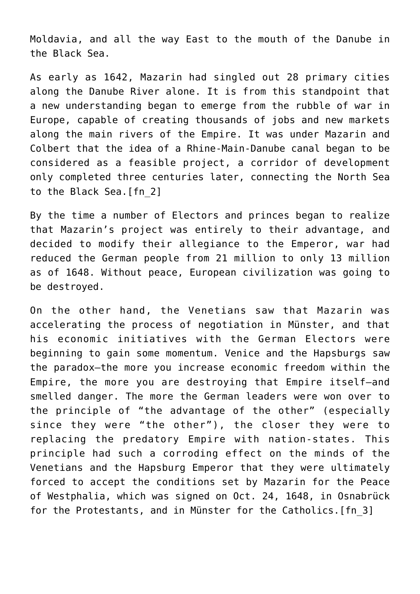Moldavia, and all the way East to the mouth of the Danube in the Black Sea.

As early as 1642, Mazarin had singled out 28 primary cities along the Danube River alone. It is from this standpoint that a new understanding began to emerge from the rubble of war in Europe, capable of creating thousands of jobs and new markets along the main rivers of the Empire. It was under Mazarin and Colbert that the idea of a Rhine-Main-Danube canal began to be considered as a feasible project, a corridor of development only completed three centuries later, connecting the North Sea to the Black Sea. [fn 2]

By the time a number of Electors and princes began to realize that Mazarin's project was entirely to their advantage, and decided to modify their allegiance to the Emperor, war had reduced the German people from 21 million to only 13 million as of 1648. Without peace, European civilization was going to be destroyed.

On the other hand, the Venetians saw that Mazarin was accelerating the process of negotiation in Münster, and that his economic initiatives with the German Electors were beginning to gain some momentum. Venice and the Hapsburgs saw the paradox—the more you increase economic freedom within the Empire, the more you are destroying that Empire itself—and smelled danger. The more the German leaders were won over to the principle of "the advantage of the other" (especially since they were "the other"), the closer they were to replacing the predatory Empire with nation-states. This principle had such a corroding effect on the minds of the Venetians and the Hapsburg Emperor that they were ultimately forced to accept the conditions set by Mazarin for the Peace of Westphalia, which was signed on Oct. 24, 1648, in Osnabrück for the Protestants, and in Münster for the Catholics[.\[fn\\_3\]](https://larouchepub.com/other/2022/4910-the_economic_policy_that_made.html#footnote-010)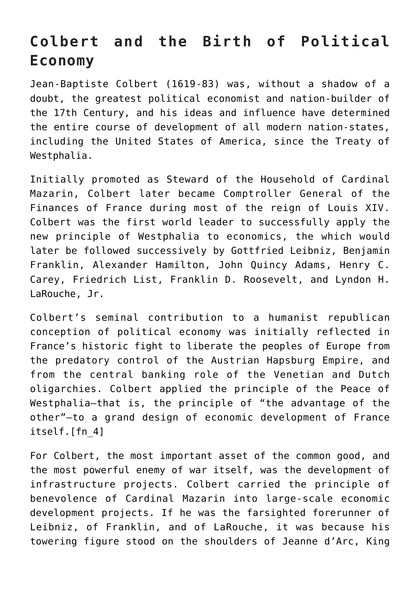# **Colbert and the Birth of Political Economy**

Jean-Baptiste Colbert (1619-83) was, without a shadow of a doubt, the greatest political economist and nation-builder of the 17th Century, and his ideas and influence have determined the entire course of development of all modern nation-states, including the United States of America, since the Treaty of Westphalia.

Initially promoted as Steward of the Household of Cardinal Mazarin, Colbert later became Comptroller General of the Finances of France during most of the reign of Louis XIV. Colbert was the first world leader to successfully apply the new principle of Westphalia to economics, the which would later be followed successively by Gottfried Leibniz, Benjamin Franklin, Alexander Hamilton, John Quincy Adams, Henry C. Carey, Friedrich List, Franklin D. Roosevelt, and Lyndon H. LaRouche, Jr.

Colbert's seminal contribution to a humanist republican conception of political economy was initially reflected in France's historic fight to liberate the peoples of Europe from the predatory control of the Austrian Hapsburg Empire, and from the central banking role of the Venetian and Dutch oligarchies. Colbert applied the principle of the Peace of Westphalia—that is, the principle of "the advantage of the other"—to a grand design of economic development of France itself[.\[fn\\_4\]](https://larouchepub.com/other/2022/4910-the_economic_policy_that_made.html#footnote-009)

For Colbert, the most important asset of the common good, and the most powerful enemy of war itself, was the development of infrastructure projects. Colbert carried the principle of benevolence of Cardinal Mazarin into large-scale economic development projects. If he was the farsighted forerunner of Leibniz, of Franklin, and of LaRouche, it was because his towering figure stood on the shoulders of Jeanne d'Arc, King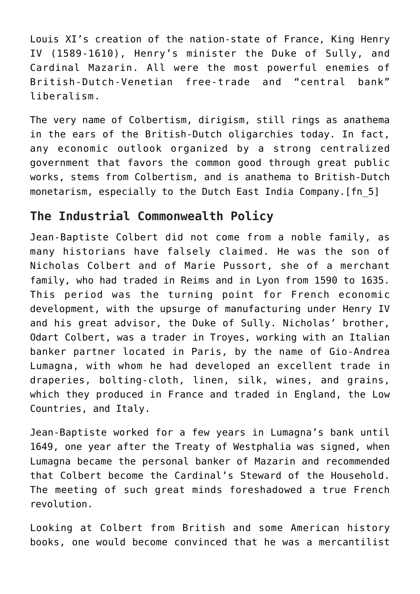Louis XI's creation of the nation-state of France, King Henry IV (1589-1610), Henry's minister the Duke of Sully, and Cardinal Mazarin. All were the most powerful enemies of British-Dutch-Venetian free-trade and "central bank" liberalism.

The very name of Colbertism, dirigism, still rings as anathema in the ears of the British-Dutch oligarchies today. In fact, any economic outlook organized by a strong centralized government that favors the common good through great public works, stems from Colbertism, and is anathema to British-Dutch monetarism, especially to the Dutch East India Company.[\[fn\\_5\]](https://larouchepub.com/other/2022/4910-the_economic_policy_that_made.html#footnote-008)

#### **The Industrial Commonwealth Policy**

Jean-Baptiste Colbert did not come from a noble family, as many historians have falsely claimed. He was the son of Nicholas Colbert and of Marie Pussort, she of a merchant family, who had traded in Reims and in Lyon from 1590 to 1635. This period was the turning point for French economic development, with the upsurge of manufacturing under Henry IV and his great advisor, the Duke of Sully. Nicholas' brother, Odart Colbert, was a trader in Troyes, working with an Italian banker partner located in Paris, by the name of Gio-Andrea Lumagna, with whom he had developed an excellent trade in draperies, bolting-cloth, linen, silk, wines, and grains, which they produced in France and traded in England, the Low Countries, and Italy.

Jean-Baptiste worked for a few years in Lumagna's bank until 1649, one year after the Treaty of Westphalia was signed, when Lumagna became the personal banker of Mazarin and recommended that Colbert become the Cardinal's Steward of the Household. The meeting of such great minds foreshadowed a true French revolution.

Looking at Colbert from British and some American history books, one would become convinced that he was a mercantilist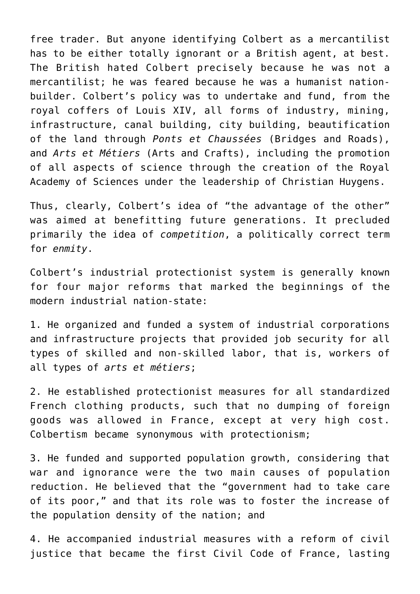free trader. But anyone identifying Colbert as a mercantilist has to be either totally ignorant or a British agent, at best. The British hated Colbert precisely because he was not a mercantilist; he was feared because he was a humanist nationbuilder. Colbert's policy was to undertake and fund, from the royal coffers of Louis XIV, all forms of industry, mining, infrastructure, canal building, city building, beautification of the land through *Ponts et Chaussées* (Bridges and Roads), and *Arts et Métiers* (Arts and Crafts), including the promotion of all aspects of science through the creation of the Royal Academy of Sciences under the leadership of Christian Huygens.

Thus, clearly, Colbert's idea of "the advantage of the other" was aimed at benefitting future generations. It precluded primarily the idea of *competition*, a politically correct term for *enmity*.

Colbert's industrial protectionist system is generally known for four major reforms that marked the beginnings of the modern industrial nation-state:

1. He organized and funded a system of industrial corporations and infrastructure projects that provided job security for all types of skilled and non-skilled labor, that is, workers of all types of *arts et métiers*;

2. He established protectionist measures for all standardized French clothing products, such that no dumping of foreign goods was allowed in France, except at very high cost. Colbertism became synonymous with protectionism;

3. He funded and supported population growth, considering that war and ignorance were the two main causes of population reduction. He believed that the "government had to take care of its poor," and that its role was to foster the increase of the population density of the nation; and

4. He accompanied industrial measures with a reform of civil justice that became the first Civil Code of France, lasting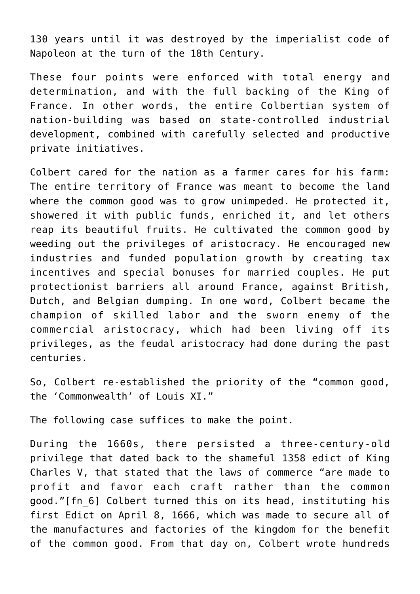130 years until it was destroyed by the imperialist code of Napoleon at the turn of the 18th Century.

These four points were enforced with total energy and determination, and with the full backing of the King of France. In other words, the entire Colbertian system of nation-building was based on state-controlled industrial development, combined with carefully selected and productive private initiatives.

Colbert cared for the nation as a farmer cares for his farm: The entire territory of France was meant to become the land where the common good was to grow unimpeded. He protected it, showered it with public funds, enriched it, and let others reap its beautiful fruits. He cultivated the common good by weeding out the privileges of aristocracy. He encouraged new industries and funded population growth by creating tax incentives and special bonuses for married couples. He put protectionist barriers all around France, against British, Dutch, and Belgian dumping. In one word, Colbert became the champion of skilled labor and the sworn enemy of the commercial aristocracy, which had been living off its privileges, as the feudal aristocracy had done during the past centuries.

So, Colbert re-established the priority of the "common good, the 'Commonwealth' of Louis XI."

The following case suffices to make the point.

During the 1660s, there persisted a three-century-old privilege that dated back to the shameful 1358 edict of King Charles V, that stated that the laws of commerce "are made to profit and favor each craft rather than the common good.["\[fn\\_6\]](https://larouchepub.com/other/2022/4910-the_economic_policy_that_made.html#footnote-007) Colbert turned this on its head, instituting his first Edict on April 8, 1666, which was made to secure all of the manufactures and factories of the kingdom for the benefit of the common good. From that day on, Colbert wrote hundreds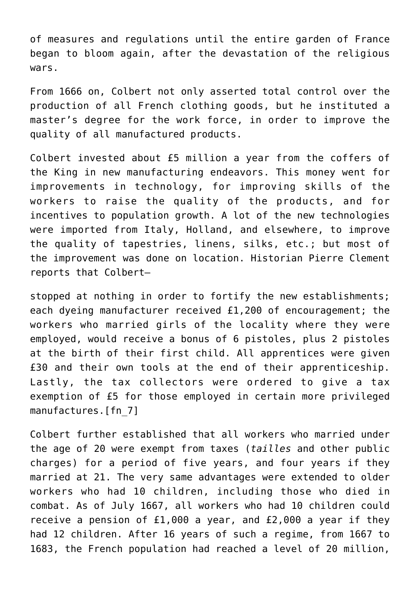of measures and regulations until the entire garden of France began to bloom again, after the devastation of the religious wars.

From 1666 on, Colbert not only asserted total control over the production of all French clothing goods, but he instituted a master's degree for the work force, in order to improve the quality of all manufactured products.

Colbert invested about £5 million a year from the coffers of the King in new manufacturing endeavors. This money went for improvements in technology, for improving skills of the workers to raise the quality of the products, and for incentives to population growth. A lot of the new technologies were imported from Italy, Holland, and elsewhere, to improve the quality of tapestries, linens, silks, etc.; but most of the improvement was done on location. Historian Pierre Clement reports that Colbert—

stopped at nothing in order to fortify the new establishments; each dyeing manufacturer received £1,200 of encouragement; the workers who married girls of the locality where they were employed, would receive a bonus of 6 pistoles, plus 2 pistoles at the birth of their first child. All apprentices were given £30 and their own tools at the end of their apprenticeship. Lastly, the tax collectors were ordered to give a tax exemption of £5 for those employed in certain more privileged manufactures[.\[fn\\_7\]](https://larouchepub.com/other/2022/4910-the_economic_policy_that_made.html#footnote-006)

Colbert further established that all workers who married under the age of 20 were exempt from taxes (*tailles* and other public charges) for a period of five years, and four years if they married at 21. The very same advantages were extended to older workers who had 10 children, including those who died in combat. As of July 1667, all workers who had 10 children could receive a pension of £1,000 a year, and £2,000 a year if they had 12 children. After 16 years of such a regime, from 1667 to 1683, the French population had reached a level of 20 million,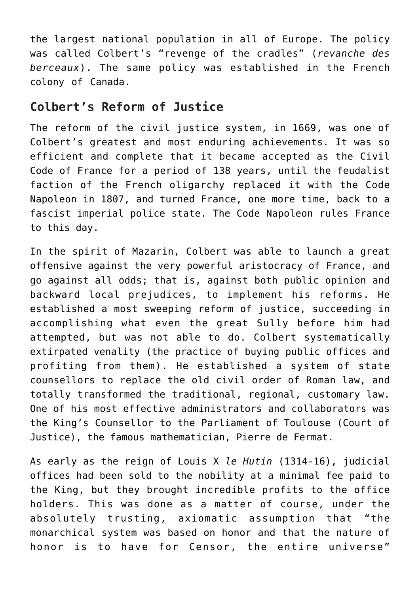the largest national population in all of Europe. The policy was called Colbert's "revenge of the cradles" (*revanche des berceaux*). The same policy was established in the French colony of Canada.

#### **Colbert's Reform of Justice**

The reform of the civil justice system, in 1669, was one of Colbert's greatest and most enduring achievements. It was so efficient and complete that it became accepted as the Civil Code of France for a period of 138 years, until the feudalist faction of the French oligarchy replaced it with the Code Napoleon in 1807, and turned France, one more time, back to a fascist imperial police state. The Code Napoleon rules France to this day.

In the spirit of Mazarin, Colbert was able to launch a great offensive against the very powerful aristocracy of France, and go against all odds; that is, against both public opinion and backward local prejudices, to implement his reforms. He established a most sweeping reform of justice, succeeding in accomplishing what even the great Sully before him had attempted, but was not able to do. Colbert systematically extirpated venality (the practice of buying public offices and profiting from them). He established a system of state counsellors to replace the old civil order of Roman law, and totally transformed the traditional, regional, customary law. One of his most effective administrators and collaborators was the King's Counsellor to the Parliament of Toulouse (Court of Justice), the famous mathematician, Pierre de Fermat.

As early as the reign of Louis X *le Hutin* (1314-16), judicial offices had been sold to the nobility at a minimal fee paid to the King, but they brought incredible profits to the office holders. This was done as a matter of course, under the absolutely trusting, axiomatic assumption that "the monarchical system was based on honor and that the nature of honor is to have for Censor, the entire universe"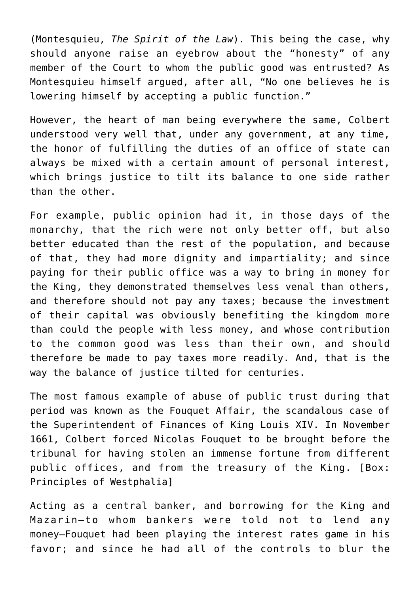(Montesquieu, *The Spirit of the Law*). This being the case, why should anyone raise an eyebrow about the "honesty" of any member of the Court to whom the public good was entrusted? As Montesquieu himself argued, after all, "No one believes he is lowering himself by accepting a public function."

However, the heart of man being everywhere the same, Colbert understood very well that, under any government, at any time, the honor of fulfilling the duties of an office of state can always be mixed with a certain amount of personal interest, which brings justice to tilt its balance to one side rather than the other.

For example, public opinion had it, in those days of the monarchy, that the rich were not only better off, but also better educated than the rest of the population, and because of that, they had more dignity and impartiality; and since paying for their public office was a way to bring in money for the King, they demonstrated themselves less venal than others, and therefore should not pay any taxes; because the investment of their capital was obviously benefiting the kingdom more than could the people with less money, and whose contribution to the common good was less than their own, and should therefore be made to pay taxes more readily. And, that is the way the balance of justice tilted for centuries.

The most famous example of abuse of public trust during that period was known as the Fouquet Affair, the scandalous case of the Superintendent of Finances of King Louis XIV. In November 1661, Colbert forced Nicolas Fouquet to be brought before the tribunal for having stolen an immense fortune from different public offices, and from the treasury of the King. [[Box:](https://larouchepub.com/other/2022/4910-the_economic_policy_that_made.html#unAWZ3bBsztIEEeMwoT7NP4) [Principles of Westphalia\]](https://larouchepub.com/other/2022/4910-the_economic_policy_that_made.html#unAWZ3bBsztIEEeMwoT7NP4)

Acting as a central banker, and borrowing for the King and Mazarin—to whom bankers were told not to lend any money—Fouquet had been playing the interest rates game in his favor; and since he had all of the controls to blur the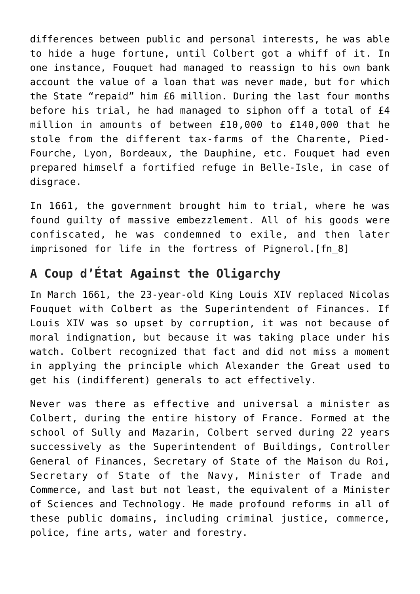differences between public and personal interests, he was able to hide a huge fortune, until Colbert got a whiff of it. In one instance, Fouquet had managed to reassign to his own bank account the value of a loan that was never made, but for which the State "repaid" him £6 million. During the last four months before his trial, he had managed to siphon off a total of £4 million in amounts of between £10,000 to £140,000 that he stole from the different tax-farms of the Charente, Pied-Fourche, Lyon, Bordeaux, the Dauphine, etc. Fouquet had even prepared himself a fortified refuge in Belle-Isle, in case of disgrace.

In 1661, the government brought him to trial, where he was found guilty of massive embezzlement. All of his goods were confiscated, he was condemned to exile, and then later imprisoned for life in the fortress of Pignerol.[\[fn\\_8\]](https://larouchepub.com/other/2022/4910-the_economic_policy_that_made.html#footnote-005)

# **A Coup d'État Against the Oligarchy**

In March 1661, the 23-year-old King Louis XIV replaced Nicolas Fouquet with Colbert as the Superintendent of Finances. If Louis XIV was so upset by corruption, it was not because of moral indignation, but because it was taking place under his watch. Colbert recognized that fact and did not miss a moment in applying the principle which Alexander the Great used to get his (indifferent) generals to act effectively.

Never was there as effective and universal a minister as Colbert, during the entire history of France. Formed at the school of Sully and Mazarin, Colbert served during 22 years successively as the Superintendent of Buildings, Controller General of Finances, Secretary of State of the Maison du Roi, Secretary of State of the Navy, Minister of Trade and Commerce, and last but not least, the equivalent of a Minister of Sciences and Technology. He made profound reforms in all of these public domains, including criminal justice, commerce, police, fine arts, water and forestry.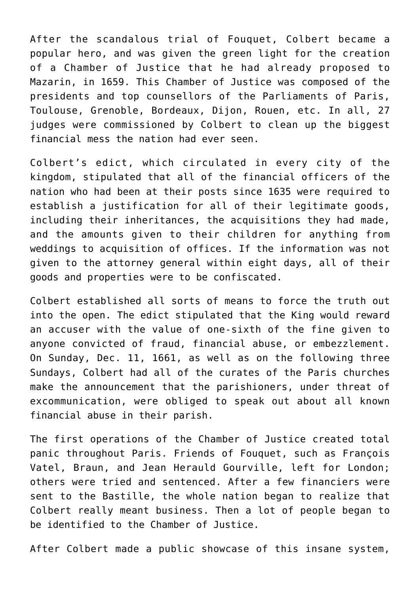After the scandalous trial of Fouquet, Colbert became a popular hero, and was given the green light for the creation of a Chamber of Justice that he had already proposed to Mazarin, in 1659. This Chamber of Justice was composed of the presidents and top counsellors of the Parliaments of Paris, Toulouse, Grenoble, Bordeaux, Dijon, Rouen, etc. In all, 27 judges were commissioned by Colbert to clean up the biggest financial mess the nation had ever seen.

Colbert's edict, which circulated in every city of the kingdom, stipulated that all of the financial officers of the nation who had been at their posts since 1635 were required to establish a justification for all of their legitimate goods, including their inheritances, the acquisitions they had made, and the amounts given to their children for anything from weddings to acquisition of offices. If the information was not given to the attorney general within eight days, all of their goods and properties were to be confiscated.

Colbert established all sorts of means to force the truth out into the open. The edict stipulated that the King would reward an accuser with the value of one-sixth of the fine given to anyone convicted of fraud, financial abuse, or embezzlement. On Sunday, Dec. 11, 1661, as well as on the following three Sundays, Colbert had all of the curates of the Paris churches make the announcement that the parishioners, under threat of excommunication, were obliged to speak out about all known financial abuse in their parish.

The first operations of the Chamber of Justice created total panic throughout Paris. Friends of Fouquet, such as François Vatel, Braun, and Jean Herauld Gourville, left for London; others were tried and sentenced. After a few financiers were sent to the Bastille, the whole nation began to realize that Colbert really meant business. Then a lot of people began to be identified to the Chamber of Justice.

After Colbert made a public showcase of this insane system,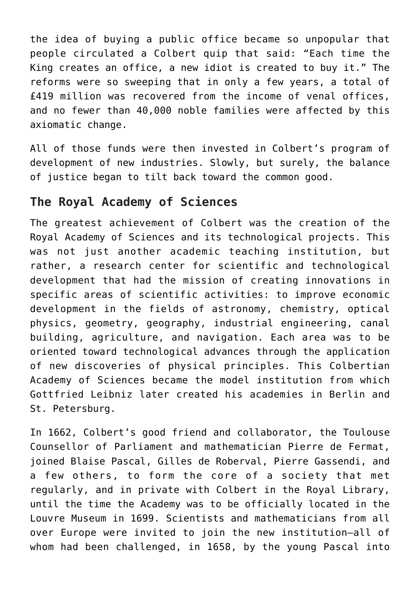the idea of buying a public office became so unpopular that people circulated a Colbert quip that said: "Each time the King creates an office, a new idiot is created to buy it." The reforms were so sweeping that in only a few years, a total of £419 million was recovered from the income of venal offices, and no fewer than 40,000 noble families were affected by this axiomatic change.

All of those funds were then invested in Colbert's program of development of new industries. Slowly, but surely, the balance of justice began to tilt back toward the common good.

#### **The Royal Academy of Sciences**

The greatest achievement of Colbert was the creation of the Royal Academy of Sciences and its technological projects. This was not just another academic teaching institution, but rather, a research center for scientific and technological development that had the mission of creating innovations in specific areas of scientific activities: to improve economic development in the fields of astronomy, chemistry, optical physics, geometry, geography, industrial engineering, canal building, agriculture, and navigation. Each area was to be oriented toward technological advances through the application of new discoveries of physical principles. This Colbertian Academy of Sciences became the model institution from which Gottfried Leibniz later created his academies in Berlin and St. Petersburg.

In 1662, Colbert's good friend and collaborator, the Toulouse Counsellor of Parliament and mathematician Pierre de Fermat, joined Blaise Pascal, Gilles de Roberval, Pierre Gassendi, and a few others, to form the core of a society that met regularly, and in private with Colbert in the Royal Library, until the time the Academy was to be officially located in the Louvre Museum in 1699. Scientists and mathematicians from all over Europe were invited to join the new institution—all of whom had been challenged, in 1658, by the young Pascal into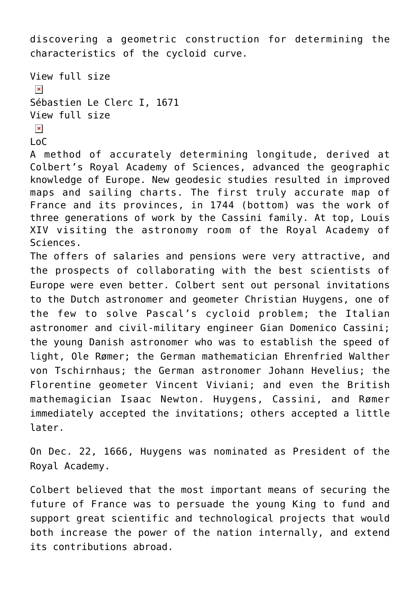discovering a geometric construction for determining the characteristics of the cycloid curve.

```
View full size
 \pmb{\times}Sébastien Le Clerc I, 1671
View full size
\pmb{\times}
```
 $\overline{L}$ 

A method of accurately determining longitude, derived at Colbert's Royal Academy of Sciences, advanced the geographic knowledge of Europe. New geodesic studies resulted in improved maps and sailing charts. The first truly accurate map of France and its provinces, in 1744 (bottom) was the work of three generations of work by the Cassini family. At top, Louis XIV visiting the astronomy room of the Royal Academy of Sciences.

The offers of salaries and pensions were very attractive, and the prospects of collaborating with the best scientists of Europe were even better. Colbert sent out personal invitations to the Dutch astronomer and geometer Christian Huygens, one of the few to solve Pascal's cycloid problem; the Italian astronomer and civil-military engineer Gian Domenico Cassini; the young Danish astronomer who was to establish the speed of light, Ole Rømer; the German mathematician Ehrenfried Walther von Tschirnhaus; the German astronomer Johann Hevelius; the Florentine geometer Vincent Viviani; and even the British mathemagician Isaac Newton. Huygens, Cassini, and Rømer immediately accepted the invitations; others accepted a little later.

On Dec. 22, 1666, Huygens was nominated as President of the Royal Academy.

Colbert believed that the most important means of securing the future of France was to persuade the young King to fund and support great scientific and technological projects that would both increase the power of the nation internally, and extend its contributions abroad.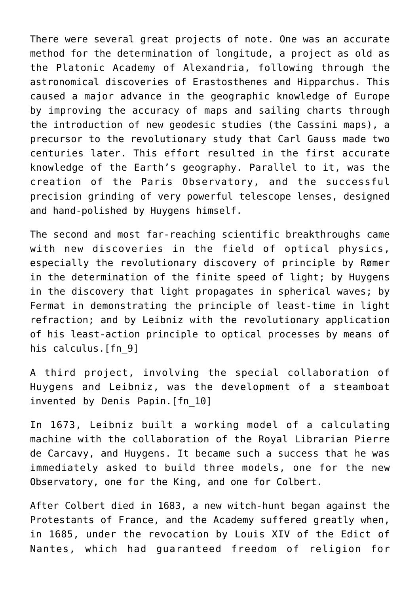There were several great projects of note. One was an accurate method for the determination of longitude, a project as old as the Platonic Academy of Alexandria, following through the astronomical discoveries of Erastosthenes and Hipparchus. This caused a major advance in the geographic knowledge of Europe by improving the accuracy of maps and sailing charts through the introduction of new geodesic studies (the Cassini maps), a precursor to the revolutionary study that Carl Gauss made two centuries later. This effort resulted in the first accurate knowledge of the Earth's geography. Parallel to it, was the creation of the Paris Observatory, and the successful precision grinding of very powerful telescope lenses, designed and hand-polished by Huygens himself.

The second and most far-reaching scientific breakthroughs came with new discoveries in the field of optical physics, especially the revolutionary discovery of principle by Rømer in the determination of the finite speed of light; by Huygens in the discovery that light propagates in spherical waves; by Fermat in demonstrating the principle of least-time in light refraction; and by Leibniz with the revolutionary application of his least-action principle to optical processes by means of his calculus[.\[fn\\_9\]](https://larouchepub.com/other/2022/4910-the_economic_policy_that_made.html#footnote-004)

A third project, involving the special collaboration of Huygens and Leibniz, was the development of a steamboat invented by Denis Papin.[\[fn\\_10\]](https://larouchepub.com/other/2022/4910-the_economic_policy_that_made.html#footnote-003)

In 1673, Leibniz built a working model of a calculating machine with the collaboration of the Royal Librarian Pierre de Carcavy, and Huygens. It became such a success that he was immediately asked to build three models, one for the new Observatory, one for the King, and one for Colbert.

After Colbert died in 1683, a new witch-hunt began against the Protestants of France, and the Academy suffered greatly when, in 1685, under the revocation by Louis XIV of the Edict of Nantes, which had guaranteed freedom of religion for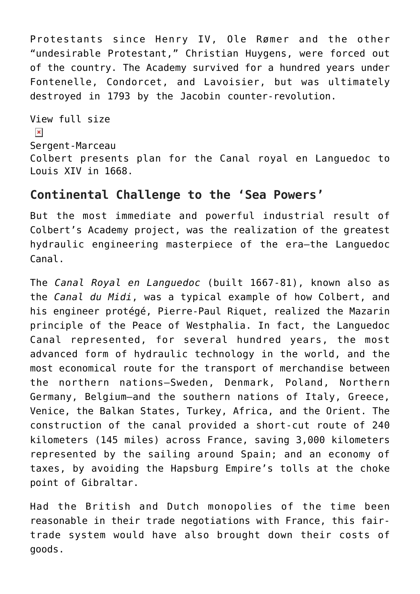Protestants since Henry IV, Ole Rømer and the other "undesirable Protestant," Christian Huygens, were forced out of the country. The Academy survived for a hundred years under Fontenelle, Condorcet, and Lavoisier, but was ultimately destroyed in 1793 by the Jacobin counter-revolution.

[View full size](https://larouchepub.com/graphics/2022/4910/lg/Colbert_canal_map.jpg)  $\pmb{\times}$ Sergent-Marceau Colbert presents plan for the Canal royal en Languedoc to Louis XIV in 1668.

#### **Continental Challenge to the 'Sea Powers'**

But the most immediate and powerful industrial result of Colbert's Academy project, was the realization of the greatest hydraulic engineering masterpiece of the era—the Languedoc Canal.

The *Canal Royal en Languedoc* (built 1667-81), known also as the *Canal du Midi*, was a typical example of how Colbert, and his engineer protégé, Pierre-Paul Riquet, realized the Mazarin principle of the Peace of Westphalia. In fact, the Languedoc Canal represented, for several hundred years, the most advanced form of hydraulic technology in the world, and the most economical route for the transport of merchandise between the northern nations—Sweden, Denmark, Poland, Northern Germany, Belgium—and the southern nations of Italy, Greece, Venice, the Balkan States, Turkey, Africa, and the Orient. The construction of the canal provided a short-cut route of 240 kilometers (145 miles) across France, saving 3,000 kilometers represented by the sailing around Spain; and an economy of taxes, by avoiding the Hapsburg Empire's tolls at the choke point of Gibraltar.

Had the British and Dutch monopolies of the time been reasonable in their trade negotiations with France, this fairtrade system would have also brought down their costs of goods.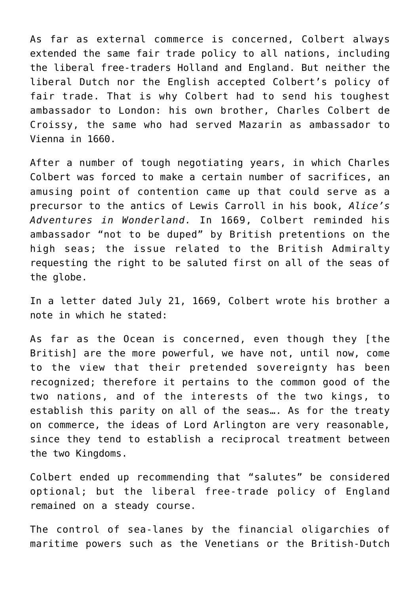As far as external commerce is concerned, Colbert always extended the same fair trade policy to all nations, including the liberal free-traders Holland and England. But neither the liberal Dutch nor the English accepted Colbert's policy of fair trade. That is why Colbert had to send his toughest ambassador to London: his own brother, Charles Colbert de Croissy, the same who had served Mazarin as ambassador to Vienna in 1660.

After a number of tough negotiating years, in which Charles Colbert was forced to make a certain number of sacrifices, an amusing point of contention came up that could serve as a precursor to the antics of Lewis Carroll in his book, *Alice's Adventures in Wonderland.* In 1669, Colbert reminded his ambassador "not to be duped" by British pretentions on the high seas; the issue related to the British Admiralty requesting the right to be saluted first on all of the seas of the globe.

In a letter dated July 21, 1669, Colbert wrote his brother a note in which he stated:

As far as the Ocean is concerned, even though they [the British] are the more powerful, we have not, until now, come to the view that their pretended sovereignty has been recognized; therefore it pertains to the common good of the two nations, and of the interests of the two kings, to establish this parity on all of the seas…. As for the treaty on commerce, the ideas of Lord Arlington are very reasonable, since they tend to establish a reciprocal treatment between the two Kingdoms.

Colbert ended up recommending that "salutes" be considered optional; but the liberal free-trade policy of England remained on a steady course.

The control of sea-lanes by the financial oligarchies of maritime powers such as the Venetians or the British-Dutch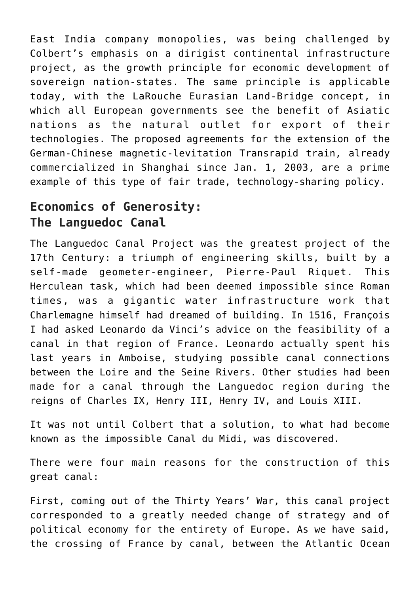East India company monopolies, was being challenged by Colbert's emphasis on a dirigist continental infrastructure project, as the growth principle for economic development of sovereign nation-states. The same principle is applicable today, with the LaRouche Eurasian Land-Bridge concept, in which all European governments see the benefit of Asiatic nations as the natural outlet for export of their technologies. The proposed agreements for the extension of the German-Chinese magnetic-levitation Transrapid train, already commercialized in Shanghai since Jan. 1, 2003, are a prime example of this type of fair trade, technology-sharing policy.

# **Economics of Generosity: The Languedoc Canal**

The Languedoc Canal Project was the greatest project of the 17th Century: a triumph of engineering skills, built by a self-made geometer-engineer, Pierre-Paul Riquet. This Herculean task, which had been deemed impossible since Roman times, was a gigantic water infrastructure work that Charlemagne himself had dreamed of building. In 1516, François I had asked Leonardo da Vinci's advice on the feasibility of a canal in that region of France. Leonardo actually spent his last years in Amboise, studying possible canal connections between the Loire and the Seine Rivers. Other studies had been made for a canal through the Languedoc region during the reigns of Charles IX, Henry III, Henry IV, and Louis XIII.

It was not until Colbert that a solution, to what had become known as the impossible Canal du Midi, was discovered.

There were four main reasons for the construction of this great canal:

First, coming out of the Thirty Years' War, this canal project corresponded to a greatly needed change of strategy and of political economy for the entirety of Europe. As we have said, the crossing of France by canal, between the Atlantic Ocean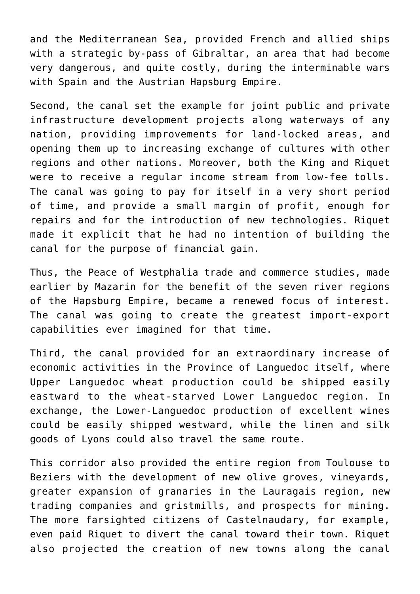and the Mediterranean Sea, provided French and allied ships with a strategic by-pass of Gibraltar, an area that had become very dangerous, and quite costly, during the interminable wars with Spain and the Austrian Hapsburg Empire.

Second, the canal set the example for joint public and private infrastructure development projects along waterways of any nation, providing improvements for land-locked areas, and opening them up to increasing exchange of cultures with other regions and other nations. Moreover, both the King and Riquet were to receive a regular income stream from low-fee tolls. The canal was going to pay for itself in a very short period of time, and provide a small margin of profit, enough for repairs and for the introduction of new technologies. Riquet made it explicit that he had no intention of building the canal for the purpose of financial gain.

Thus, the Peace of Westphalia trade and commerce studies, made earlier by Mazarin for the benefit of the seven river regions of the Hapsburg Empire, became a renewed focus of interest. The canal was going to create the greatest import-export capabilities ever imagined for that time.

Third, the canal provided for an extraordinary increase of economic activities in the Province of Languedoc itself, where Upper Languedoc wheat production could be shipped easily eastward to the wheat-starved Lower Languedoc region. In exchange, the Lower-Languedoc production of excellent wines could be easily shipped westward, while the linen and silk goods of Lyons could also travel the same route.

This corridor also provided the entire region from Toulouse to Beziers with the development of new olive groves, vineyards, greater expansion of granaries in the Lauragais region, new trading companies and gristmills, and prospects for mining. The more farsighted citizens of Castelnaudary, for example, even paid Riquet to divert the canal toward their town. Riquet also projected the creation of new towns along the canal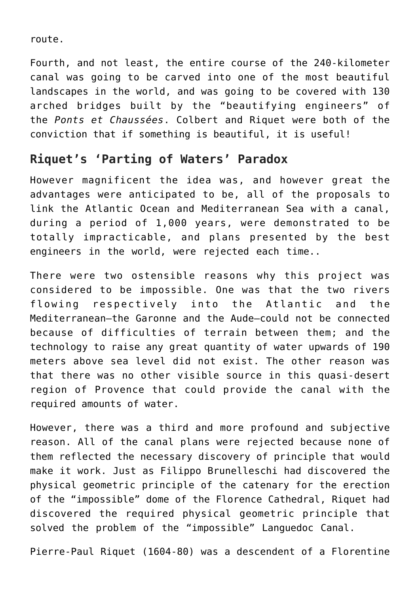route.

Fourth, and not least, the entire course of the 240-kilometer canal was going to be carved into one of the most beautiful landscapes in the world, and was going to be covered with 130 arched bridges built by the "beautifying engineers" of the *Ponts et Chaussées*. Colbert and Riquet were both of the conviction that if something is beautiful, it is useful!

#### **Riquet's 'Parting of Waters' Paradox**

However magnificent the idea was, and however great the advantages were anticipated to be, all of the proposals to link the Atlantic Ocean and Mediterranean Sea with a canal, during a period of 1,000 years, were demonstrated to be totally impracticable, and plans presented by the best engineers in the world, were rejected each time..

There were two ostensible reasons why this project was considered to be impossible. One was that the two rivers flowing respectively into the Atlantic and the Mediterranean—the Garonne and the Aude—could not be connected because of difficulties of terrain between them; and the technology to raise any great quantity of water upwards of 190 meters above sea level did not exist. The other reason was that there was no other visible source in this quasi-desert region of Provence that could provide the canal with the required amounts of water.

However, there was a third and more profound and subjective reason. All of the canal plans were rejected because none of them reflected the necessary discovery of principle that would make it work. Just as Filippo Brunelleschi had discovered the physical geometric principle of the catenary for the erection of the "impossible" dome of the Florence Cathedral, Riquet had discovered the required physical geometric principle that solved the problem of the "impossible" Languedoc Canal.

Pierre-Paul Riquet (1604-80) was a descendent of a Florentine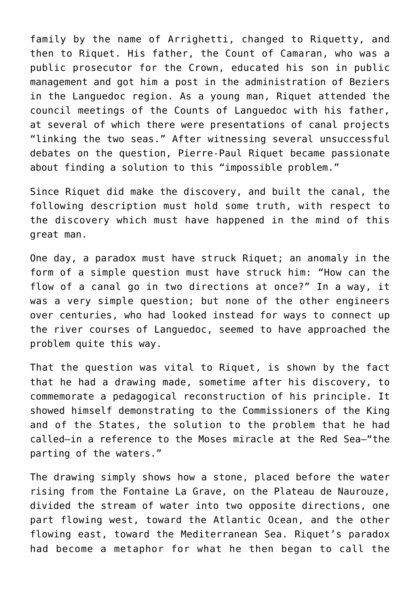family by the name of Arrighetti, changed to Riquetty, and then to Riquet. His father, the Count of Camaran, who was a public prosecutor for the Crown, educated his son in public management and got him a post in the administration of Beziers in the Languedoc region. As a young man, Riquet attended the council meetings of the Counts of Languedoc with his father, at several of which there were presentations of canal projects "linking the two seas." After witnessing several unsuccessful debates on the question, Pierre-Paul Riquet became passionate about finding a solution to this "impossible problem."

Since Riquet did make the discovery, and built the canal, the following description must hold some truth, with respect to the discovery which must have happened in the mind of this great man.

One day, a paradox must have struck Riquet; an anomaly in the form of a simple question must have struck him: "How can the flow of a canal go in two directions at once?" In a way, it was a very simple question; but none of the other engineers over centuries, who had looked instead for ways to connect up the river courses of Languedoc, seemed to have approached the problem quite this way.

That the question was vital to Riquet, is shown by the fact that he had a drawing made, sometime after his discovery, to commemorate a pedagogical reconstruction of his principle. It showed himself demonstrating to the Commissioners of the King and of the States, the solution to the problem that he had called—in a reference to the Moses miracle at the Red Sea—"the parting of the waters."

The drawing simply shows how a stone, placed before the water rising from the Fontaine La Grave, on the Plateau de Naurouze, divided the stream of water into two opposite directions, one part flowing west, toward the Atlantic Ocean, and the other flowing east, toward the Mediterranean Sea. Riquet's paradox had become a metaphor for what he then began to call the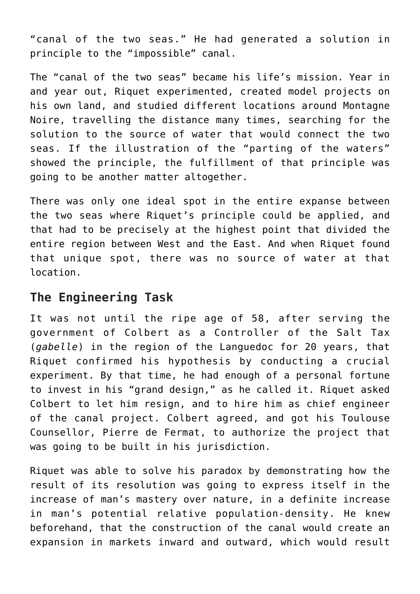"canal of the two seas." He had generated a solution in principle to the "impossible" canal.

The "canal of the two seas" became his life's mission. Year in and year out, Riquet experimented, created model projects on his own land, and studied different locations around Montagne Noire, travelling the distance many times, searching for the solution to the source of water that would connect the two seas. If the illustration of the "parting of the waters" showed the principle, the fulfillment of that principle was going to be another matter altogether.

There was only one ideal spot in the entire expanse between the two seas where Riquet's principle could be applied, and that had to be precisely at the highest point that divided the entire region between West and the East. And when Riquet found that unique spot, there was no source of water at that location.

# **The Engineering Task**

It was not until the ripe age of 58, after serving the government of Colbert as a Controller of the Salt Tax (*gabelle*) in the region of the Languedoc for 20 years, that Riquet confirmed his hypothesis by conducting a crucial experiment. By that time, he had enough of a personal fortune to invest in his "grand design," as he called it. Riquet asked Colbert to let him resign, and to hire him as chief engineer of the canal project. Colbert agreed, and got his Toulouse Counsellor, Pierre de Fermat, to authorize the project that was going to be built in his jurisdiction.

Riquet was able to solve his paradox by demonstrating how the result of its resolution was going to express itself in the increase of man's mastery over nature, in a definite increase in man's potential relative population-density. He knew beforehand, that the construction of the canal would create an expansion in markets inward and outward, which would result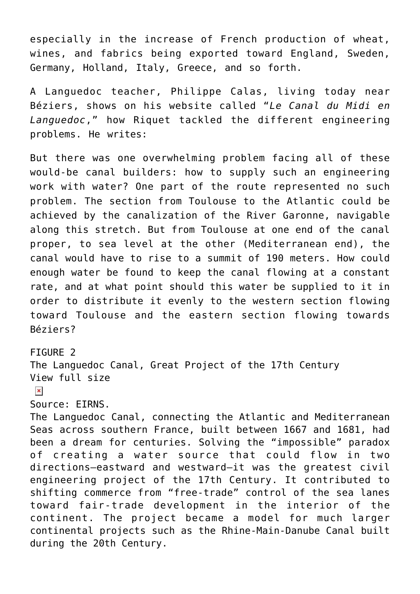especially in the increase of French production of wheat, wines, and fabrics being exported toward England, Sweden, Germany, Holland, Italy, Greece, and so forth.

A Languedoc teacher, Philippe Calas, living today near Béziers, shows on his website called "*Le Canal du Midi en Languedoc*," how Riquet tackled the different engineering problems. He writes:

But there was one overwhelming problem facing all of these would-be canal builders: how to supply such an engineering work with water? One part of the route represented no such problem. The section from Toulouse to the Atlantic could be achieved by the canalization of the River Garonne, navigable along this stretch. But from Toulouse at one end of the canal proper, to sea level at the other (Mediterranean end), the canal would have to rise to a summit of 190 meters. How could enough water be found to keep the canal flowing at a constant rate, and at what point should this water be supplied to it in order to distribute it evenly to the western section flowing toward Toulouse and the eastern section flowing towards Béziers?

#### FIGURE 2

The Languedoc Canal, Great Project of the 17th Century [View full size](https://larouchepub.com/graphics/2022/4910/lg/Fig02_Canal_du_Midi_map.jpg)

#### $\pmb{\times}$

#### Source: EIRNS.

The Languedoc Canal, connecting the Atlantic and Mediterranean Seas across southern France, built between 1667 and 1681, had been a dream for centuries. Solving the "impossible" paradox of creating a water source that could flow in two directions—eastward and westward—it was the greatest civil engineering project of the 17th Century. It contributed to shifting commerce from "free-trade" control of the sea lanes toward fair-trade development in the interior of the continent. The project became a model for much larger continental projects such as the Rhine-Main-Danube Canal built during the 20th Century.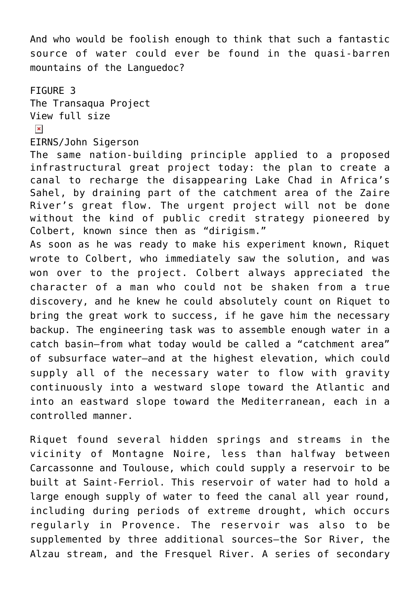And who would be foolish enough to think that such a fantastic source of water could ever be found in the quasi-barren mountains of the Languedoc?

FIGURE 3 The Transaqua Project [View full size](https://larouchepub.com/graphics/2022/4910/lg/1Transaqua__Converted_.jpg)

 $\pmb{\times}$ 

#### EIRNS/John Sigerson

The same nation-building principle applied to a proposed infrastructural great project today: the plan to create a canal to recharge the disappearing Lake Chad in Africa's Sahel, by draining part of the catchment area of the Zaire River's great flow. The urgent project will not be done without the kind of public credit strategy pioneered by Colbert, known since then as "dirigism."

As soon as he was ready to make his experiment known, Riquet wrote to Colbert, who immediately saw the solution, and was won over to the project. Colbert always appreciated the character of a man who could not be shaken from a true discovery, and he knew he could absolutely count on Riquet to bring the great work to success, if he gave him the necessary backup. The engineering task was to assemble enough water in a catch basin—from what today would be called a "catchment area" of subsurface water—and at the highest elevation, which could supply all of the necessary water to flow with gravity continuously into a westward slope toward the Atlantic and into an eastward slope toward the Mediterranean, each in a controlled manner.

Riquet found several hidden springs and streams in the vicinity of Montagne Noire, less than halfway between Carcassonne and Toulouse, which could supply a reservoir to be built at Saint-Ferriol. This reservoir of water had to hold a large enough supply of water to feed the canal all year round, including during periods of extreme drought, which occurs regularly in Provence. The reservoir was also to be supplemented by three additional sources—the Sor River, the Alzau stream, and the Fresquel River. A series of secondary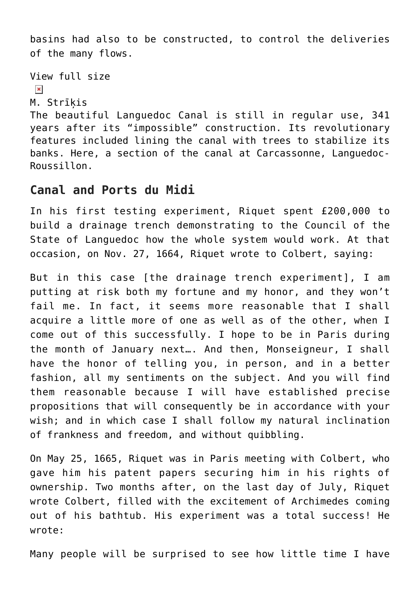basins had also to be constructed, to control the deliveries of the many flows.

```
View full size
```

```
\pmb{\times}
```

```
M. Strīķis
```
The beautiful Languedoc Canal is still in regular use, 341 years after its "impossible" construction. Its revolutionary features included lining the canal with trees to stabilize its banks. Here, a section of the canal at Carcassonne, Languedoc-Roussillon.

#### **Canal and Ports du Midi**

In his first testing experiment, Riquet spent £200,000 to build a drainage trench demonstrating to the Council of the State of Languedoc how the whole system would work. At that occasion, on Nov. 27, 1664, Riquet wrote to Colbert, saying:

But in this case [the drainage trench experiment], I am putting at risk both my fortune and my honor, and they won't fail me. In fact, it seems more reasonable that I shall acquire a little more of one as well as of the other, when I come out of this successfully. I hope to be in Paris during the month of January next…. And then, Monseigneur, I shall have the honor of telling you, in person, and in a better fashion, all my sentiments on the subject. And you will find them reasonable because I will have established precise propositions that will consequently be in accordance with your wish; and in which case I shall follow my natural inclination of frankness and freedom, and without quibbling.

On May 25, 1665, Riquet was in Paris meeting with Colbert, who gave him his patent papers securing him in his rights of ownership. Two months after, on the last day of July, Riquet wrote Colbert, filled with the excitement of Archimedes coming out of his bathtub. His experiment was a total success! He wrote:

Many people will be surprised to see how little time I have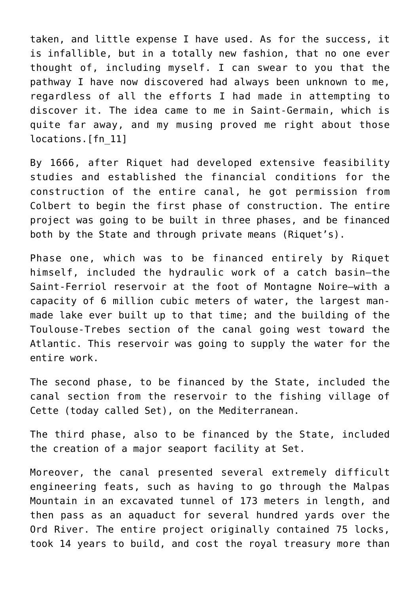taken, and little expense I have used. As for the success, it is infallible, but in a totally new fashion, that no one ever thought of, including myself. I can swear to you that the pathway I have now discovered had always been unknown to me, regardless of all the efforts I had made in attempting to discover it. The idea came to me in Saint-Germain, which is quite far away, and my musing proved me right about those locations.[\[fn\\_11\]](https://larouchepub.com/other/2022/4910-the_economic_policy_that_made.html#footnote-002)

By 1666, after Riquet had developed extensive feasibility studies and established the financial conditions for the construction of the entire canal, he got permission from Colbert to begin the first phase of construction. The entire project was going to be built in three phases, and be financed both by the State and through private means (Riquet's).

Phase one, which was to be financed entirely by Riquet himself, included the hydraulic work of a catch basin—the Saint-Ferriol reservoir at the foot of Montagne Noire—with a capacity of 6 million cubic meters of water, the largest manmade lake ever built up to that time; and the building of the Toulouse-Trebes section of the canal going west toward the Atlantic. This reservoir was going to supply the water for the entire work.

The second phase, to be financed by the State, included the canal section from the reservoir to the fishing village of Cette (today called Set), on the Mediterranean.

The third phase, also to be financed by the State, included the creation of a major seaport facility at Set.

Moreover, the canal presented several extremely difficult engineering feats, such as having to go through the Malpas Mountain in an excavated tunnel of 173 meters in length, and then pass as an aquaduct for several hundred yards over the Ord River. The entire project originally contained 75 locks, took 14 years to build, and cost the royal treasury more than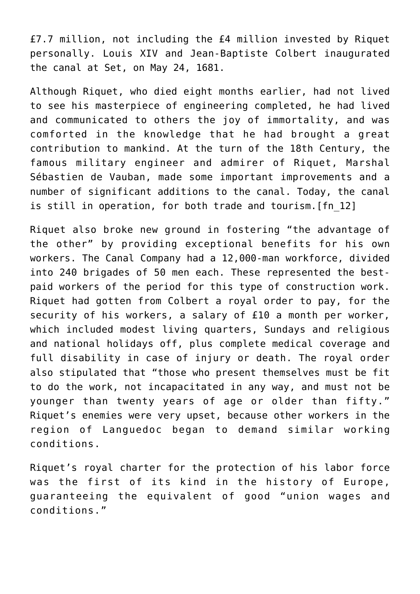£7.7 million, not including the £4 million invested by Riquet personally. Louis XIV and Jean-Baptiste Colbert inaugurated the canal at Set, on May 24, 1681.

Although Riquet, who died eight months earlier, had not lived to see his masterpiece of engineering completed, he had lived and communicated to others the joy of immortality, and was comforted in the knowledge that he had brought a great contribution to mankind. At the turn of the 18th Century, the famous military engineer and admirer of Riquet, Marshal Sébastien de Vauban, made some important improvements and a number of significant additions to the canal. Today, the canal is still in operation, for both trade and tourism.[\[fn\\_12\]](https://larouchepub.com/other/2022/4910-the_economic_policy_that_made.html#footnote-001)

Riquet also broke new ground in fostering "the advantage of the other" by providing exceptional benefits for his own workers. The Canal Company had a 12,000-man workforce, divided into 240 brigades of 50 men each. These represented the bestpaid workers of the period for this type of construction work. Riquet had gotten from Colbert a royal order to pay, for the security of his workers, a salary of £10 a month per worker, which included modest living quarters, Sundays and religious and national holidays off, plus complete medical coverage and full disability in case of injury or death. The royal order also stipulated that "those who present themselves must be fit to do the work, not incapacitated in any way, and must not be younger than twenty years of age or older than fifty." Riquet's enemies were very upset, because other workers in the region of Languedoc began to demand similar working conditions.

Riquet's royal charter for the protection of his labor force was the first of its kind in the history of Europe, guaranteeing the equivalent of good "union wages and conditions."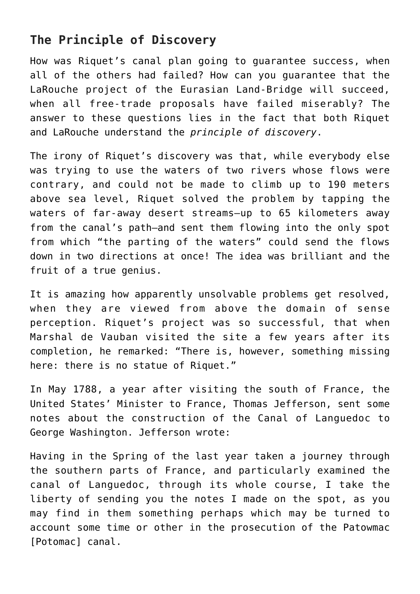# **The Principle of Discovery**

How was Riquet's canal plan going to guarantee success, when all of the others had failed? How can you guarantee that the LaRouche project of the Eurasian Land-Bridge will succeed, when all free-trade proposals have failed miserably? The answer to these questions lies in the fact that both Riquet and LaRouche understand the *principle of discovery*.

The irony of Riquet's discovery was that, while everybody else was trying to use the waters of two rivers whose flows were contrary, and could not be made to climb up to 190 meters above sea level, Riquet solved the problem by tapping the waters of far-away desert streams—up to 65 kilometers away from the canal's path—and sent them flowing into the only spot from which "the parting of the waters" could send the flows down in two directions at once! The idea was brilliant and the fruit of a true genius.

It is amazing how apparently unsolvable problems get resolved, when they are viewed from above the domain of sense perception. Riquet's project was so successful, that when Marshal de Vauban visited the site a few years after its completion, he remarked: "There is, however, something missing here: there is no statue of Riquet."

In May 1788, a year after visiting the south of France, the United States' Minister to France, Thomas Jefferson, sent some notes about the construction of the Canal of Languedoc to George Washington. Jefferson wrote:

Having in the Spring of the last year taken a journey through the southern parts of France, and particularly examined the canal of Languedoc, through its whole course, I take the liberty of sending you the notes I made on the spot, as you may find in them something perhaps which may be turned to account some time or other in the prosecution of the Patowmac [Potomac] canal.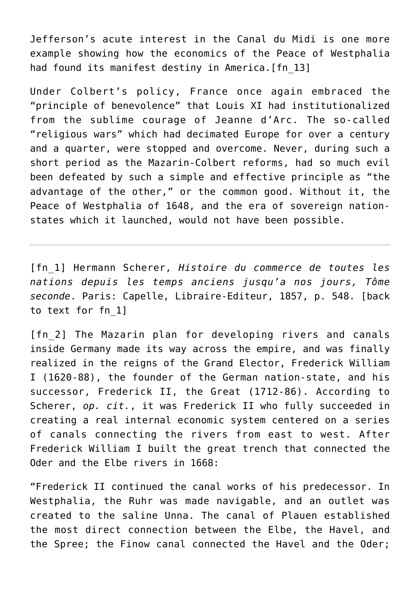Jefferson's acute interest in the Canal du Midi is one more example showing how the economics of the Peace of Westphalia had found its manifest destiny in America. [fn 13]

Under Colbert's policy, France once again embraced the "principle of benevolence" that Louis XI had institutionalized from the sublime courage of Jeanne d'Arc. The so-called "religious wars" which had decimated Europe for over a century and a quarter, were stopped and overcome. Never, during such a short period as the Mazarin-Colbert reforms, had so much evil been defeated by such a simple and effective principle as "the advantage of the other," or the common good. Without it, the Peace of Westphalia of 1648, and the era of sovereign nationstates which it launched, would not have been possible.

[\[fn\\_1\]](https://larouchepub.com/other/2022/4910-the_economic_policy_that_made.html#footnote-012-backlink) Hermann Scherer, *Histoire du commerce de toutes les nations depuis les temps anciens jusqu'a nos jours, Tôme seconde*. Paris: Capelle, Libraire-Editeur, 1857, p. 548. [\[back](https://larouchepub.com/other/2022/4910-the_economic_policy_that_made.html#footnote-012-backlink) [to text for fn\\_1\]](https://larouchepub.com/other/2022/4910-the_economic_policy_that_made.html#footnote-012-backlink)

[fn 2] The Mazarin plan for developing rivers and canals inside Germany made its way across the empire, and was finally realized in the reigns of the Grand Elector, Frederick William I (1620-88), the founder of the German nation-state, and his successor, Frederick II, the Great (1712-86). According to Scherer, *op. cit.*, it was Frederick II who fully succeeded in creating a real internal economic system centered on a series of canals connecting the rivers from east to west. After Frederick William I built the great trench that connected the Oder and the Elbe rivers in 1668:

"Frederick II continued the canal works of his predecessor. In Westphalia, the Ruhr was made navigable, and an outlet was created to the saline Unna. The canal of Plauen established the most direct connection between the Elbe, the Havel, and the Spree; the Finow canal connected the Havel and the Oder;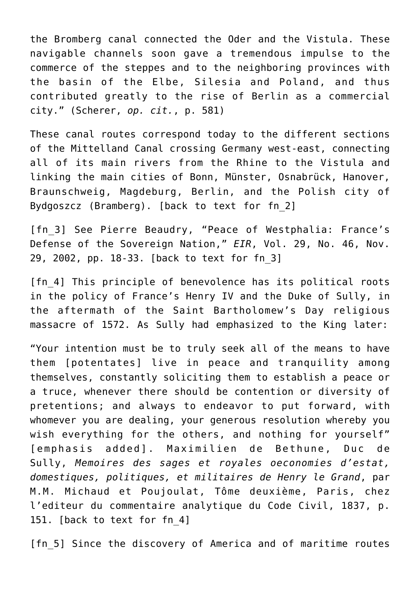the Bromberg canal connected the Oder and the Vistula. These navigable channels soon gave a tremendous impulse to the commerce of the steppes and to the neighboring provinces with the basin of the Elbe, Silesia and Poland, and thus contributed greatly to the rise of Berlin as a commercial city." (Scherer, *op. cit.*, p. 581)

These canal routes correspond today to the different sections of the Mittelland Canal crossing Germany west-east, connecting all of its main rivers from the Rhine to the Vistula and linking the main cities of Bonn, Münster, Osnabrück, Hanover, Braunschweig, Magdeburg, Berlin, and the Polish city of Bydgoszcz (Bramberg). [\[back to text for fn\\_2\]](https://larouchepub.com/other/2022/4910-the_economic_policy_that_made.html#footnote-011-backlink)

[\[fn\\_3\]](https://larouchepub.com/other/2022/4910-the_economic_policy_that_made.html#footnote-010-backlink) See Pierre Beaudry, "Peace of Westphalia: France's Defense of the Sovereign Nation," *EIR*, Vol. 29, No. 46, Nov. 29, 2002, pp. 18-33. [\[back to text for fn\\_3\]](https://larouchepub.com/other/2022/4910-the_economic_policy_that_made.html#footnote-010-backlink)

[\[fn\\_4\]](https://larouchepub.com/other/2022/4910-the_economic_policy_that_made.html#footnote-009-backlink) This principle of benevolence has its political roots in the policy of France's Henry IV and the Duke of Sully, in the aftermath of the Saint Bartholomew's Day religious massacre of 1572. As Sully had emphasized to the King later:

"Your intention must be to truly seek all of the means to have them [potentates] live in peace and tranquility among themselves, constantly soliciting them to establish a peace or a truce, whenever there should be contention or diversity of pretentions; and always to endeavor to put forward, with whomever you are dealing, your generous resolution whereby you wish everything for the others, and nothing for yourself" [emphasis added]. Maximilien de Bethune, Duc de Sully, *Memoires des sages et royales oeconomies d'estat, domestiques, politiques, et militaires de Henry le Grand*, par M.M. Michaud et Poujoulat, Tôme deuxième, Paris, chez l'editeur du commentaire analytique du Code Civil, 1837, p. 151. [\[back to text for fn\\_4\]](https://larouchepub.com/other/2022/4910-the_economic_policy_that_made.html#footnote-009-backlink)

[fn 5] Since the discovery of America and of maritime routes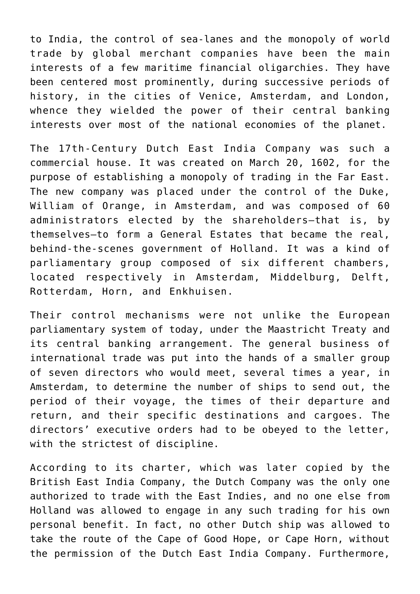to India, the control of sea-lanes and the monopoly of world trade by global merchant companies have been the main interests of a few maritime financial oligarchies. They have been centered most prominently, during successive periods of history, in the cities of Venice, Amsterdam, and London, whence they wielded the power of their central banking interests over most of the national economies of the planet.

The 17th-Century Dutch East India Company was such a commercial house. It was created on March 20, 1602, for the purpose of establishing a monopoly of trading in the Far East. The new company was placed under the control of the Duke, William of Orange, in Amsterdam, and was composed of 60 administrators elected by the shareholders—that is, by themselves—to form a General Estates that became the real, behind-the-scenes government of Holland. It was a kind of parliamentary group composed of six different chambers, located respectively in Amsterdam, Middelburg, Delft, Rotterdam, Horn, and Enkhuisen.

Their control mechanisms were not unlike the European parliamentary system of today, under the Maastricht Treaty and its central banking arrangement. The general business of international trade was put into the hands of a smaller group of seven directors who would meet, several times a year, in Amsterdam, to determine the number of ships to send out, the period of their voyage, the times of their departure and return, and their specific destinations and cargoes. The directors' executive orders had to be obeyed to the letter, with the strictest of discipline.

According to its charter, which was later copied by the British East India Company, the Dutch Company was the only one authorized to trade with the East Indies, and no one else from Holland was allowed to engage in any such trading for his own personal benefit. In fact, no other Dutch ship was allowed to take the route of the Cape of Good Hope, or Cape Horn, without the permission of the Dutch East India Company. Furthermore,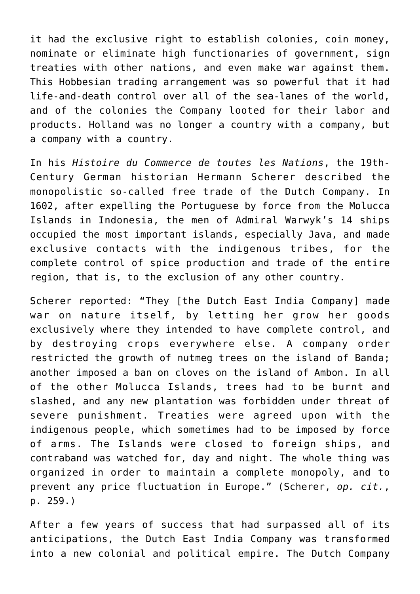it had the exclusive right to establish colonies, coin money, nominate or eliminate high functionaries of government, sign treaties with other nations, and even make war against them. This Hobbesian trading arrangement was so powerful that it had life-and-death control over all of the sea-lanes of the world, and of the colonies the Company looted for their labor and products. Holland was no longer a country with a company, but a company with a country.

In his *Histoire du Commerce de toutes les Nations*, the 19th-Century German historian Hermann Scherer described the monopolistic so-called free trade of the Dutch Company. In 1602, after expelling the Portuguese by force from the Molucca Islands in Indonesia, the men of Admiral Warwyk's 14 ships occupied the most important islands, especially Java, and made exclusive contacts with the indigenous tribes, for the complete control of spice production and trade of the entire region, that is, to the exclusion of any other country.

Scherer reported: "They [the Dutch East India Company] made war on nature itself, by letting her grow her goods exclusively where they intended to have complete control, and by destroying crops everywhere else. A company order restricted the growth of nutmeg trees on the island of Banda; another imposed a ban on cloves on the island of Ambon. In all of the other Molucca Islands, trees had to be burnt and slashed, and any new plantation was forbidden under threat of severe punishment. Treaties were agreed upon with the indigenous people, which sometimes had to be imposed by force of arms. The Islands were closed to foreign ships, and contraband was watched for, day and night. The whole thing was organized in order to maintain a complete monopoly, and to prevent any price fluctuation in Europe." (Scherer, *op. cit.*, p. 259.)

After a few years of success that had surpassed all of its anticipations, the Dutch East India Company was transformed into a new colonial and political empire. The Dutch Company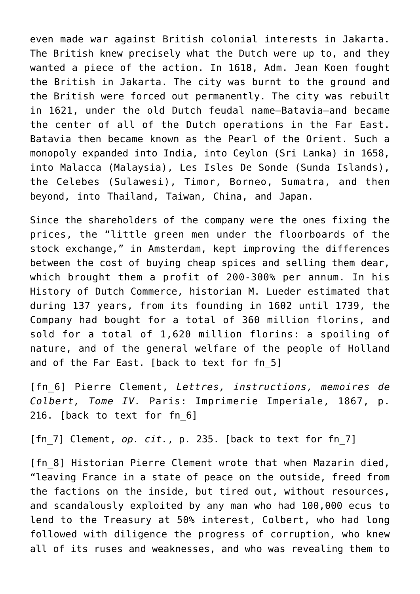even made war against British colonial interests in Jakarta. The British knew precisely what the Dutch were up to, and they wanted a piece of the action. In 1618, Adm. Jean Koen fought the British in Jakarta. The city was burnt to the ground and the British were forced out permanently. The city was rebuilt in 1621, under the old Dutch feudal name—Batavia—and became the center of all of the Dutch operations in the Far East. Batavia then became known as the Pearl of the Orient. Such a monopoly expanded into India, into Ceylon (Sri Lanka) in 1658, into Malacca (Malaysia), Les Isles De Sonde (Sunda Islands), the Celebes (Sulawesi), Timor, Borneo, Sumatra, and then beyond, into Thailand, Taiwan, China, and Japan.

Since the shareholders of the company were the ones fixing the prices, the "little green men under the floorboards of the stock exchange," in Amsterdam, kept improving the differences between the cost of buying cheap spices and selling them dear, which brought them a profit of 200-300% per annum. In his History of Dutch Commerce, historian M. Lueder estimated that during 137 years, from its founding in 1602 until 1739, the Company had bought for a total of 360 million florins, and sold for a total of 1,620 million florins: a spoiling of nature, and of the general welfare of the people of Holland and of the Far East. [\[back to text for fn\\_5\]](https://larouchepub.com/other/2022/4910-the_economic_policy_that_made.html#footnote-008-backlink)

[\[fn\\_6\]](https://larouchepub.com/other/2022/4910-the_economic_policy_that_made.html#footnote-007-backlink) Pierre Clement, *Lettres, instructions, memoires de Colbert, Tome IV.* Paris: Imprimerie Imperiale, 1867, p. 216. [\[back to text for fn\\_6\]](https://larouchepub.com/other/2022/4910-the_economic_policy_that_made.html#footnote-007-backlink)

[fn 7] Clement, op. cit., p. 235. [\[back to text for fn\\_7\]](https://larouchepub.com/other/2022/4910-the_economic_policy_that_made.html#footnote-006-backlink)

[fn 8] Historian Pierre Clement wrote that when Mazarin died, "leaving France in a state of peace on the outside, freed from the factions on the inside, but tired out, without resources, and scandalously exploited by any man who had 100,000 ecus to lend to the Treasury at 50% interest, Colbert, who had long followed with diligence the progress of corruption, who knew all of its ruses and weaknesses, and who was revealing them to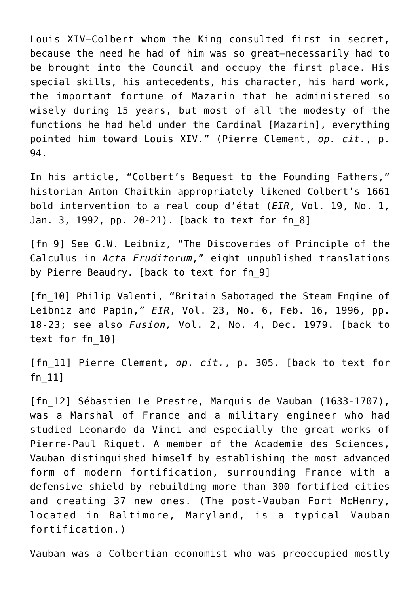Louis XIV—Colbert whom the King consulted first in secret, because the need he had of him was so great—necessarily had to be brought into the Council and occupy the first place. His special skills, his antecedents, his character, his hard work, the important fortune of Mazarin that he administered so wisely during 15 years, but most of all the modesty of the functions he had held under the Cardinal [Mazarin], everything pointed him toward Louis XIV." (Pierre Clement, *op. cit.*, p. 94.

In his article, "Colbert's Bequest to the Founding Fathers," historian Anton Chaitkin appropriately likened Colbert's 1661 bold intervention to a real coup d'état (*EIR*, Vol. 19, No. 1, Jan. 3, 1992, pp. 20-21). [\[back to text for fn\\_8\]](https://larouchepub.com/other/2022/4910-the_economic_policy_that_made.html#footnote-005-backlink)

[fn 9] See G.W. Leibniz, "The Discoveries of Principle of the Calculus in *Acta Eruditorum*," eight unpublished translations by Pierre Beaudry. [\[back to text for fn\\_9\]](https://larouchepub.com/other/2022/4910-the_economic_policy_that_made.html#footnote-004-backlink)

[\[fn\\_10\]](https://larouchepub.com/other/2022/4910-the_economic_policy_that_made.html#footnote-003-backlink) Philip Valenti, "Britain Sabotaged the Steam Engine of Leibniz and Papin," *EIR*, Vol. 23, No. 6, Feb. 16, 1996, pp. 18-23; see also *Fusion,* Vol. 2, No. 4, Dec. 1979. [\[back to](https://larouchepub.com/other/2022/4910-the_economic_policy_that_made.html#footnote-003-backlink) [text for fn\\_10\]](https://larouchepub.com/other/2022/4910-the_economic_policy_that_made.html#footnote-003-backlink)

[\[fn\\_11\]](https://larouchepub.com/other/2022/4910-the_economic_policy_that_made.html#footnote-002-backlink) Pierre Clement, *op. cit.*, p. 305. [\[back to text for](https://larouchepub.com/other/2022/4910-the_economic_policy_that_made.html#footnote-002-backlink) [fn\\_11\]](https://larouchepub.com/other/2022/4910-the_economic_policy_that_made.html#footnote-002-backlink)

[\[fn\\_12\]](https://larouchepub.com/other/2022/4910-the_economic_policy_that_made.html#footnote-001-backlink) Sébastien Le Prestre, Marquis de Vauban (1633-1707), was a Marshal of France and a military engineer who had studied Leonardo da Vinci and especially the great works of Pierre-Paul Riquet. A member of the Academie des Sciences, Vauban distinguished himself by establishing the most advanced form of modern fortification, surrounding France with a defensive shield by rebuilding more than 300 fortified cities and creating 37 new ones. (The post-Vauban Fort McHenry, located in Baltimore, Maryland, is a typical Vauban fortification.)

Vauban was a Colbertian economist who was preoccupied mostly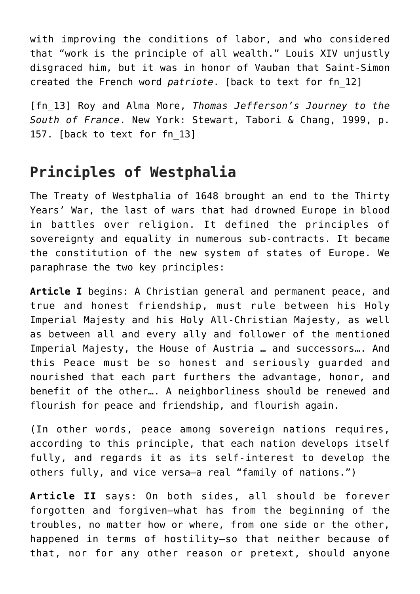with improving the conditions of labor, and who considered that "work is the principle of all wealth." Louis XIV unjustly disgraced him, but it was in honor of Vauban that Saint-Simon created the French word *patriote*. [\[back to text for fn\\_12\]](https://larouchepub.com/other/2022/4910-the_economic_policy_that_made.html#footnote-001-backlink)

[\[fn\\_13\]](https://larouchepub.com/other/2022/4910-the_economic_policy_that_made.html#footnote-000-backlink) Roy and Alma More, *Thomas Jefferson's Journey to the South of France*. New York: Stewart, Tabori & Chang, 1999, p. 157. [\[back to text for fn\\_13\]](https://larouchepub.com/other/2022/4910-the_economic_policy_that_made.html#footnote-000-backlink)

# **Principles of Westphalia**

The Treaty of Westphalia of 1648 brought an end to the Thirty Years' War, the last of wars that had drowned Europe in blood in battles over religion. It defined the principles of sovereignty and equality in numerous sub-contracts. It became the constitution of the new system of states of Europe. We paraphrase the two key principles:

**Article I** begins: A Christian general and permanent peace, and true and honest friendship, must rule between his Holy Imperial Majesty and his Holy All-Christian Majesty, as well as between all and every ally and follower of the mentioned Imperial Majesty, the House of Austria … and successors…. And this Peace must be so honest and seriously guarded and nourished that each part furthers the advantage, honor, and benefit of the other…. A neighborliness should be renewed and flourish for peace and friendship, and flourish again.

(In other words, peace among sovereign nations requires, according to this principle, that each nation develops itself fully, and regards it as its self-interest to develop the others fully, and vice versa—a real "family of nations.")

**Article II** says: On both sides, all should be forever forgotten and forgiven—what has from the beginning of the troubles, no matter how or where, from one side or the other, happened in terms of hostility—so that neither because of that, nor for any other reason or pretext, should anyone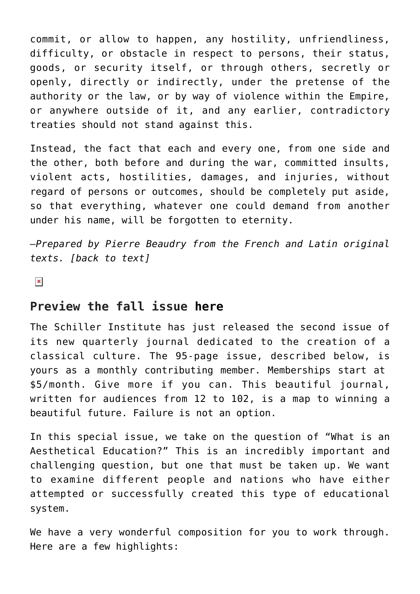commit, or allow to happen, any hostility, unfriendliness, difficulty, or obstacle in respect to persons, their status, goods, or security itself, or through others, secretly or openly, directly or indirectly, under the pretense of the authority or the law, or by way of violence within the Empire, or anywhere outside of it, and any earlier, contradictory treaties should not stand against this.

Instead, the fact that each and every one, from one side and the other, both before and during the war, committed insults, violent acts, hostilities, damages, and injuries, without regard of persons or outcomes, should be completely put aside, so that everything, whatever one could demand from another under his name, will be forgotten to eternity.

*—Prepared by Pierre Beaudry from the French and Latin original texts. [[back to text](https://larouchepub.com/other/2022/4910-the_economic_policy_that_made.html#ujNPG6ATfjK35PpxJfPmyXA)]*

 $\pmb{\times}$ 

#### **Preview the fall issue [here](https://schillerinstitute.com/wp-content/uploads/2022/01/Leonore-Fall-2021_preview.pdf)**

The Schiller Institute has just released the second issue of its new quarterly journal dedicated to the creation of a classical culture. The 95-page issue, described below, is yours as a monthly contributing member. Memberships start at \$5/month. Give more if you can. This beautiful journal, written for audiences from 12 to 102, is a map to winning a beautiful future. Failure is not an option.

In this special issue, we take on the question of "What is an Aesthetical Education?" This is an incredibly important and challenging question, but one that must be taken up. We want to examine different people and nations who have either attempted or successfully created this type of educational system.

We have a very wonderful composition for you to work through. Here are a few highlights: